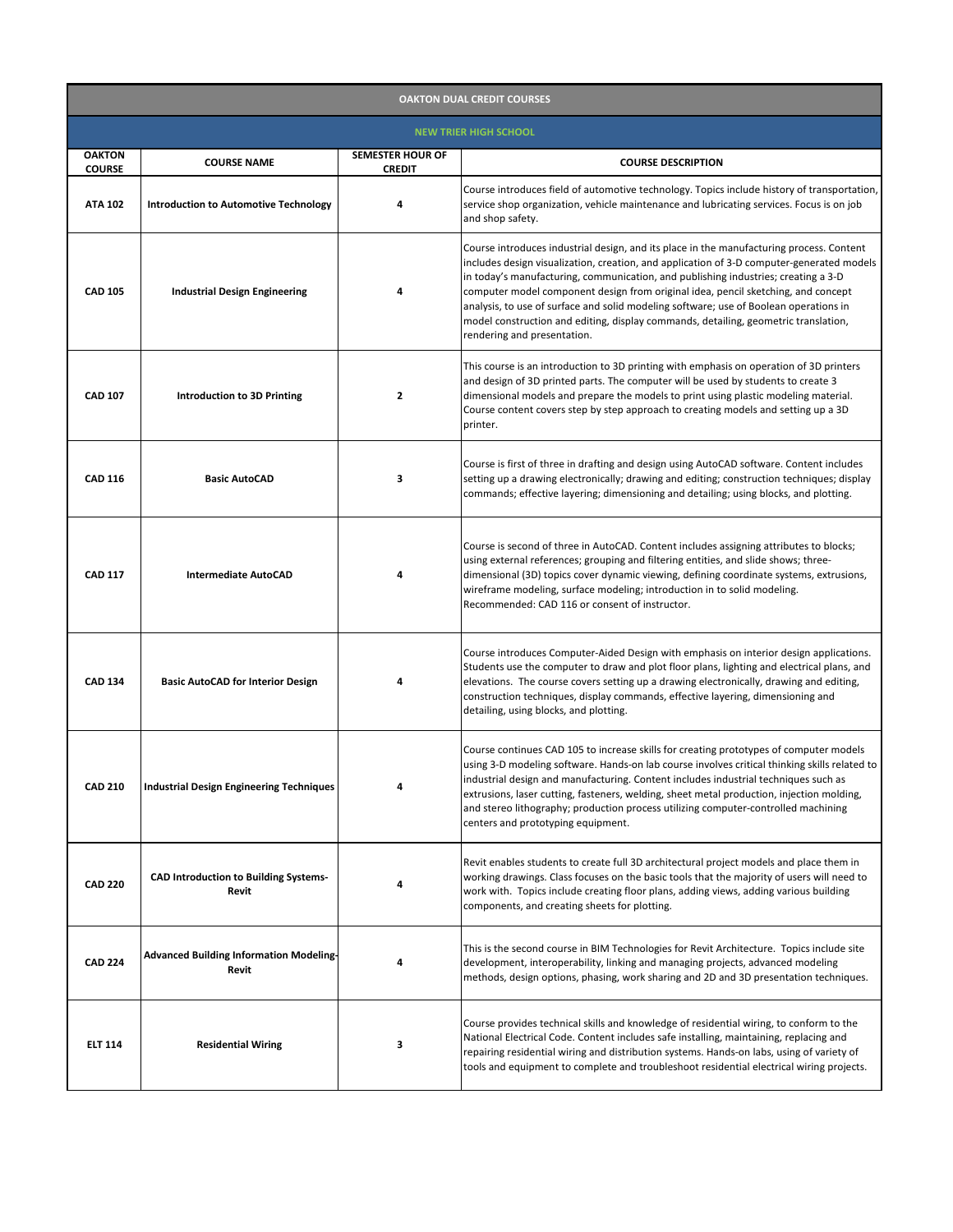| <b>OAKTON DUAL CREDIT COURSES</b> |                                                                |                                          |                                                                                                                                                                                                                                                                                                                                                                                                                                                                                                                                                                                 |  |  |
|-----------------------------------|----------------------------------------------------------------|------------------------------------------|---------------------------------------------------------------------------------------------------------------------------------------------------------------------------------------------------------------------------------------------------------------------------------------------------------------------------------------------------------------------------------------------------------------------------------------------------------------------------------------------------------------------------------------------------------------------------------|--|--|
| <b>NEW TRIER HIGH SCHOOL</b>      |                                                                |                                          |                                                                                                                                                                                                                                                                                                                                                                                                                                                                                                                                                                                 |  |  |
| <b>OAKTON</b><br><b>COURSE</b>    | <b>COURSE NAME</b>                                             | <b>SEMESTER HOUR OF</b><br><b>CREDIT</b> | <b>COURSE DESCRIPTION</b>                                                                                                                                                                                                                                                                                                                                                                                                                                                                                                                                                       |  |  |
| <b>ATA 102</b>                    | <b>Introduction to Automotive Technology</b>                   | 4                                        | Course introduces field of automotive technology. Topics include history of transportation,<br>service shop organization, vehicle maintenance and lubricating services. Focus is on job<br>and shop safety.                                                                                                                                                                                                                                                                                                                                                                     |  |  |
| <b>CAD 105</b>                    | <b>Industrial Design Engineering</b>                           | 4                                        | Course introduces industrial design, and its place in the manufacturing process. Content<br>includes design visualization, creation, and application of 3-D computer-generated models<br>in today's manufacturing, communication, and publishing industries; creating a 3-D<br>computer model component design from original idea, pencil sketching, and concept<br>analysis, to use of surface and solid modeling software; use of Boolean operations in<br>model construction and editing, display commands, detailing, geometric translation,<br>rendering and presentation. |  |  |
| <b>CAD 107</b>                    | <b>Introduction to 3D Printing</b>                             | 2                                        | This course is an introduction to 3D printing with emphasis on operation of 3D printers<br>and design of 3D printed parts. The computer will be used by students to create 3<br>dimensional models and prepare the models to print using plastic modeling material.<br>Course content covers step by step approach to creating models and setting up a 3D<br>printer.                                                                                                                                                                                                           |  |  |
| <b>CAD 116</b>                    | <b>Basic AutoCAD</b>                                           | 3                                        | Course is first of three in drafting and design using AutoCAD software. Content includes<br>setting up a drawing electronically; drawing and editing; construction techniques; display<br>commands; effective layering; dimensioning and detailing; using blocks, and plotting.                                                                                                                                                                                                                                                                                                 |  |  |
| <b>CAD 117</b>                    | <b>Intermediate AutoCAD</b>                                    | 4                                        | Course is second of three in AutoCAD. Content includes assigning attributes to blocks;<br>using external references; grouping and filtering entities, and slide shows; three-<br>dimensional (3D) topics cover dynamic viewing, defining coordinate systems, extrusions,<br>wireframe modeling, surface modeling; introduction in to solid modeling.<br>Recommended: CAD 116 or consent of instructor.                                                                                                                                                                          |  |  |
| <b>CAD 134</b>                    | <b>Basic AutoCAD for Interior Design</b>                       | Δ                                        | Course introduces Computer-Aided Design with emphasis on interior design applications.<br>Students use the computer to draw and plot floor plans, lighting and electrical plans, and<br>elevations. The course covers setting up a drawing electronically, drawing and editing,<br>construction techniques, display commands, effective layering, dimensioning and<br>detailing, using blocks, and plotting.                                                                                                                                                                    |  |  |
| <b>CAD 210</b>                    | <b>Industrial Design Engineering Techniques</b>                | 4                                        | Course continues CAD 105 to increase skills for creating prototypes of computer models<br>using 3-D modeling software. Hands-on lab course involves critical thinking skills related to<br>industrial design and manufacturing. Content includes industrial techniques such as<br>extrusions, laser cutting, fasteners, welding, sheet metal production, injection molding,<br>and stereo lithography; production process utilizing computer-controlled machining<br>centers and prototyping equipment.                                                                         |  |  |
| <b>CAD 220</b>                    | <b>CAD Introduction to Building Systems-</b><br><b>Revit</b>   | 4                                        | Revit enables students to create full 3D architectural project models and place them in<br>working drawings. Class focuses on the basic tools that the majority of users will need to<br>work with. Topics include creating floor plans, adding views, adding various building<br>components, and creating sheets for plotting.                                                                                                                                                                                                                                                 |  |  |
| <b>CAD 224</b>                    | <b>Advanced Building Information Modeling-</b><br><b>Revit</b> | 4                                        | This is the second course in BIM Technologies for Revit Architecture. Topics include site<br>development, interoperability, linking and managing projects, advanced modeling<br>methods, design options, phasing, work sharing and 2D and 3D presentation techniques.                                                                                                                                                                                                                                                                                                           |  |  |
| <b>ELT 114</b>                    | <b>Residential Wiring</b>                                      | 3                                        | Course provides technical skills and knowledge of residential wiring, to conform to the<br>National Electrical Code. Content includes safe installing, maintaining, replacing and<br>repairing residential wiring and distribution systems. Hands-on labs, using of variety of<br>tools and equipment to complete and troubleshoot residential electrical wiring projects.                                                                                                                                                                                                      |  |  |